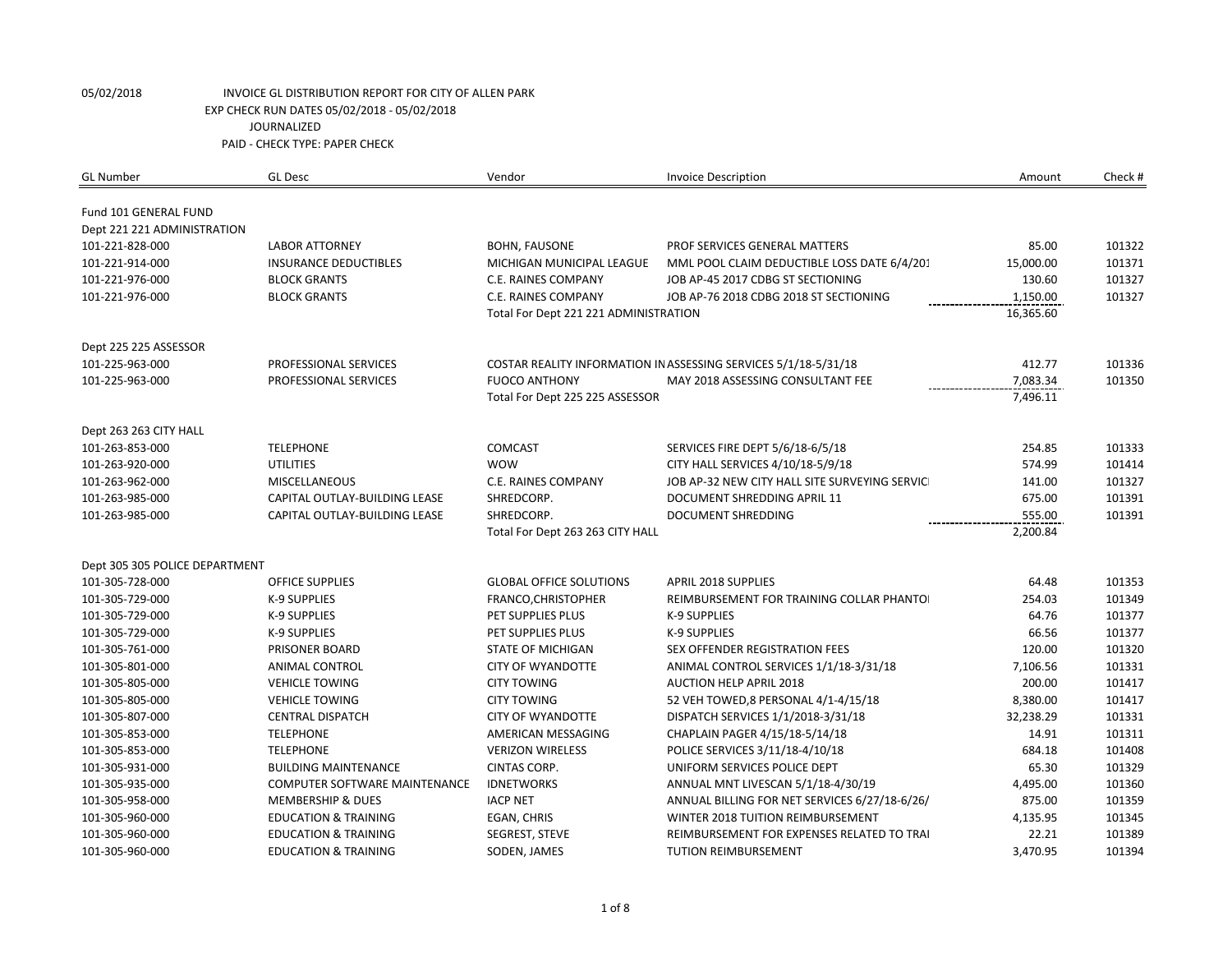| <b>GL Number</b>                   | <b>GL Desc</b>                       | Vendor                                | <b>Invoice Description</b>                                                          | Amount    | Check #          |
|------------------------------------|--------------------------------------|---------------------------------------|-------------------------------------------------------------------------------------|-----------|------------------|
| Fund 101 GENERAL FUND              |                                      |                                       |                                                                                     |           |                  |
| Dept 221 221 ADMINISTRATION        |                                      |                                       |                                                                                     |           |                  |
| 101-221-828-000                    | <b>LABOR ATTORNEY</b>                | <b>BOHN, FAUSONE</b>                  | PROF SERVICES GENERAL MATTERS                                                       | 85.00     | 101322           |
| 101-221-914-000                    | <b>INSURANCE DEDUCTIBLES</b>         | MICHIGAN MUNICIPAL LEAGUE             | MML POOL CLAIM DEDUCTIBLE LOSS DATE 6/4/201                                         | 15,000.00 | 101371           |
| 101-221-976-000                    | <b>BLOCK GRANTS</b>                  | C.E. RAINES COMPANY                   | JOB AP-45 2017 CDBG ST SECTIONING                                                   | 130.60    | 101327           |
| 101-221-976-000                    | <b>BLOCK GRANTS</b>                  | C.E. RAINES COMPANY                   | JOB AP-76 2018 CDBG 2018 ST SECTIONING                                              | 1,150.00  | 101327           |
|                                    |                                      | Total For Dept 221 221 ADMINISTRATION |                                                                                     | 16,365.60 |                  |
|                                    |                                      |                                       |                                                                                     |           |                  |
| Dept 225 225 ASSESSOR              |                                      |                                       |                                                                                     |           |                  |
| 101-225-963-000                    | PROFESSIONAL SERVICES                |                                       | COSTAR REALITY INFORMATION IN ASSESSING SERVICES 5/1/18-5/31/18                     | 412.77    | 101336           |
| 101-225-963-000                    | PROFESSIONAL SERVICES                | <b>FUOCO ANTHONY</b>                  | MAY 2018 ASSESSING CONSULTANT FEE                                                   | 7,083.34  | 101350           |
|                                    |                                      | Total For Dept 225 225 ASSESSOR       |                                                                                     | 7,496.11  |                  |
|                                    |                                      |                                       |                                                                                     |           |                  |
| Dept 263 263 CITY HALL             |                                      | <b>COMCAST</b>                        |                                                                                     | 254.85    |                  |
| 101-263-853-000<br>101-263-920-000 | <b>TELEPHONE</b><br><b>UTILITIES</b> | <b>WOW</b>                            | SERVICES FIRE DEPT 5/6/18-6/5/18                                                    | 574.99    | 101333<br>101414 |
| 101-263-962-000                    | <b>MISCELLANEOUS</b>                 | C.E. RAINES COMPANY                   | CITY HALL SERVICES 4/10/18-5/9/18<br>JOB AP-32 NEW CITY HALL SITE SURVEYING SERVICE | 141.00    | 101327           |
| 101-263-985-000                    | CAPITAL OUTLAY-BUILDING LEASE        | SHREDCORP.                            | DOCUMENT SHREDDING APRIL 11                                                         | 675.00    | 101391           |
| 101-263-985-000                    | CAPITAL OUTLAY-BUILDING LEASE        | SHREDCORP.                            | <b>DOCUMENT SHREDDING</b>                                                           | 555.00    | 101391           |
|                                    |                                      | Total For Dept 263 263 CITY HALL      |                                                                                     | 2,200.84  |                  |
|                                    |                                      |                                       |                                                                                     |           |                  |
| Dept 305 305 POLICE DEPARTMENT     |                                      |                                       |                                                                                     |           |                  |
| 101-305-728-000                    | <b>OFFICE SUPPLIES</b>               | <b>GLOBAL OFFICE SOLUTIONS</b>        | <b>APRIL 2018 SUPPLIES</b>                                                          | 64.48     | 101353           |
| 101-305-729-000                    | <b>K-9 SUPPLIES</b>                  | FRANCO, CHRISTOPHER                   | REIMBURSEMENT FOR TRAINING COLLAR PHANTO                                            | 254.03    | 101349           |
| 101-305-729-000                    | K-9 SUPPLIES                         | PET SUPPLIES PLUS                     | <b>K-9 SUPPLIES</b>                                                                 | 64.76     | 101377           |
| 101-305-729-000                    | K-9 SUPPLIES                         | PET SUPPLIES PLUS                     | K-9 SUPPLIES                                                                        | 66.56     | 101377           |
| 101-305-761-000                    | PRISONER BOARD                       | <b>STATE OF MICHIGAN</b>              | <b>SEX OFFENDER REGISTRATION FEES</b>                                               | 120.00    | 101320           |
| 101-305-801-000                    | ANIMAL CONTROL                       | <b>CITY OF WYANDOTTE</b>              | ANIMAL CONTROL SERVICES 1/1/18-3/31/18                                              | 7,106.56  | 101331           |
| 101-305-805-000                    | <b>VEHICLE TOWING</b>                | <b>CITY TOWING</b>                    | <b>AUCTION HELP APRIL 2018</b>                                                      | 200.00    | 101417           |
| 101-305-805-000                    | <b>VEHICLE TOWING</b>                | <b>CITY TOWING</b>                    | 52 VEH TOWED, 8 PERSONAL 4/1-4/15/18                                                | 8,380.00  | 101417           |
| 101-305-807-000                    | <b>CENTRAL DISPATCH</b>              | <b>CITY OF WYANDOTTE</b>              | DISPATCH SERVICES 1/1/2018-3/31/18                                                  | 32,238.29 | 101331           |
| 101-305-853-000                    | <b>TELEPHONE</b>                     | AMERICAN MESSAGING                    | CHAPLAIN PAGER 4/15/18-5/14/18                                                      | 14.91     | 101311           |
| 101-305-853-000                    | <b>TELEPHONE</b>                     | <b>VERIZON WIRELESS</b>               | POLICE SERVICES 3/11/18-4/10/18                                                     | 684.18    | 101408           |
| 101-305-931-000                    | <b>BUILDING MAINTENANCE</b>          | CINTAS CORP.                          | UNIFORM SERVICES POLICE DEPT                                                        | 65.30     | 101329           |
| 101-305-935-000                    | COMPUTER SOFTWARE MAINTENANCE        | <b>IDNETWORKS</b>                     | ANNUAL MNT LIVESCAN 5/1/18-4/30/19                                                  | 4,495.00  | 101360           |
| 101-305-958-000                    | <b>MEMBERSHIP &amp; DUES</b>         | <b>IACP NET</b>                       | ANNUAL BILLING FOR NET SERVICES 6/27/18-6/26/                                       | 875.00    | 101359           |
| 101-305-960-000                    | <b>EDUCATION &amp; TRAINING</b>      | EGAN, CHRIS                           | WINTER 2018 TUITION REIMBURSEMENT                                                   | 4,135.95  | 101345           |
| 101-305-960-000                    | <b>EDUCATION &amp; TRAINING</b>      | SEGREST, STEVE                        | REIMBURSEMENT FOR EXPENSES RELATED TO TRAI                                          | 22.21     | 101389           |
| 101-305-960-000                    | <b>EDUCATION &amp; TRAINING</b>      | SODEN, JAMES                          | TUTION REIMBURSEMENT                                                                | 3,470.95  | 101394           |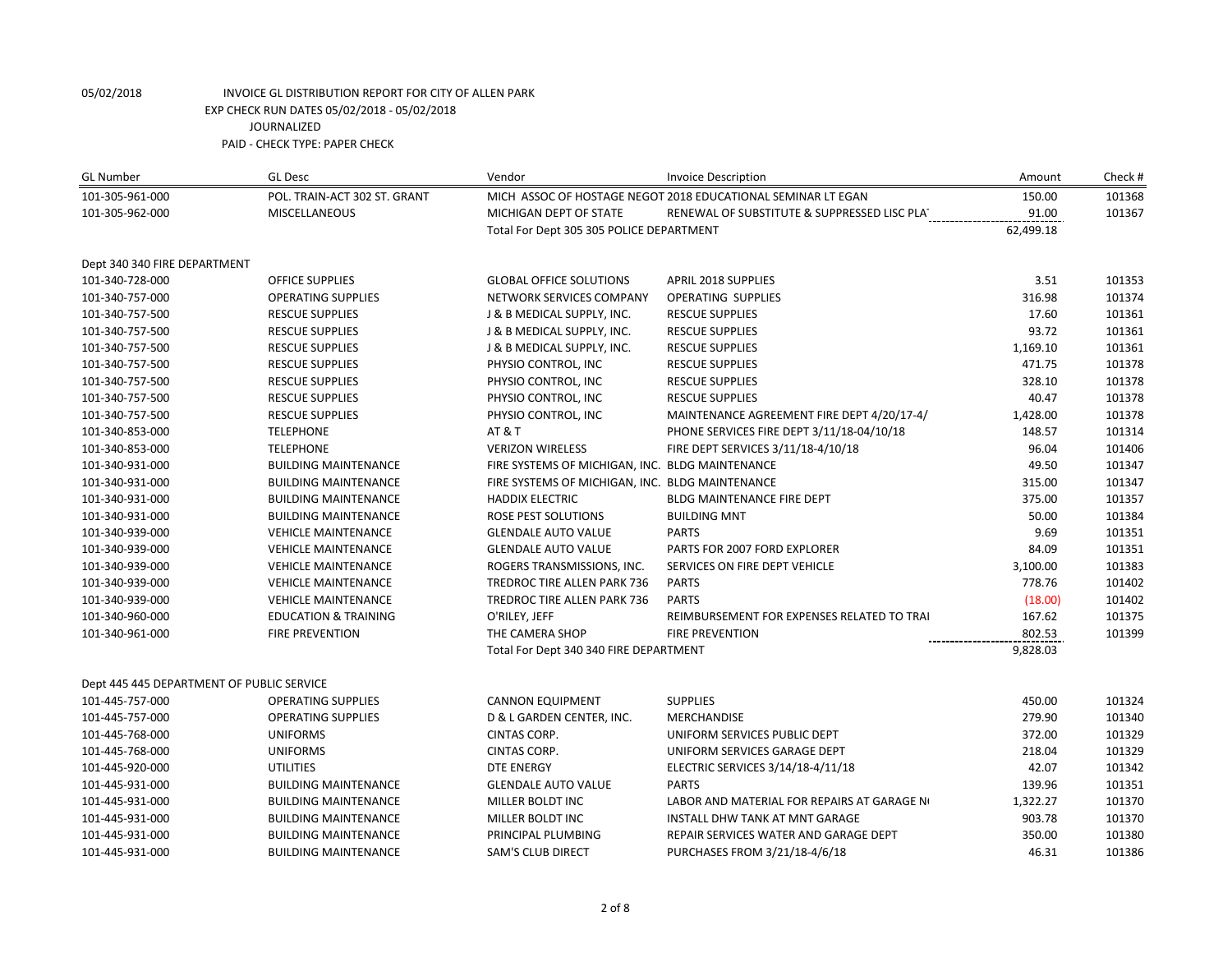| <b>GL Number</b>                          | <b>GL Desc</b>                  | Vendor                                          | <b>Invoice Description</b>                                   | Amount    | Check# |
|-------------------------------------------|---------------------------------|-------------------------------------------------|--------------------------------------------------------------|-----------|--------|
| 101-305-961-000                           | POL. TRAIN-ACT 302 ST. GRANT    |                                                 | MICH ASSOC OF HOSTAGE NEGOT 2018 EDUCATIONAL SEMINAR LT EGAN | 150.00    | 101368 |
| 101-305-962-000                           | <b>MISCELLANEOUS</b>            | MICHIGAN DEPT OF STATE                          | RENEWAL OF SUBSTITUTE & SUPPRESSED LISC PLAT                 | 91.00     | 101367 |
|                                           |                                 | Total For Dept 305 305 POLICE DEPARTMENT        |                                                              | 62,499.18 |        |
| Dept 340 340 FIRE DEPARTMENT              |                                 |                                                 |                                                              |           |        |
| 101-340-728-000                           | <b>OFFICE SUPPLIES</b>          | <b>GLOBAL OFFICE SOLUTIONS</b>                  | <b>APRIL 2018 SUPPLIES</b>                                   | 3.51      | 101353 |
| 101-340-757-000                           | <b>OPERATING SUPPLIES</b>       | NETWORK SERVICES COMPANY                        | <b>OPERATING SUPPLIES</b>                                    | 316.98    | 101374 |
| 101-340-757-500                           | <b>RESCUE SUPPLIES</b>          | J & B MEDICAL SUPPLY, INC.                      | <b>RESCUE SUPPLIES</b>                                       | 17.60     | 101361 |
| 101-340-757-500                           | <b>RESCUE SUPPLIES</b>          | J & B MEDICAL SUPPLY, INC.                      | <b>RESCUE SUPPLIES</b>                                       | 93.72     | 101361 |
| 101-340-757-500                           | <b>RESCUE SUPPLIES</b>          | J & B MEDICAL SUPPLY, INC.                      | <b>RESCUE SUPPLIES</b>                                       | 1,169.10  | 101361 |
| 101-340-757-500                           | <b>RESCUE SUPPLIES</b>          | PHYSIO CONTROL, INC                             | <b>RESCUE SUPPLIES</b>                                       | 471.75    | 101378 |
| 101-340-757-500                           | <b>RESCUE SUPPLIES</b>          | PHYSIO CONTROL, INC                             | <b>RESCUE SUPPLIES</b>                                       | 328.10    | 101378 |
| 101-340-757-500                           | <b>RESCUE SUPPLIES</b>          | PHYSIO CONTROL, INC                             | <b>RESCUE SUPPLIES</b>                                       | 40.47     | 101378 |
| 101-340-757-500                           | <b>RESCUE SUPPLIES</b>          | PHYSIO CONTROL, INC                             | MAINTENANCE AGREEMENT FIRE DEPT 4/20/17-4/                   | 1,428.00  | 101378 |
| 101-340-853-000                           | <b>TELEPHONE</b>                | <b>AT &amp; T</b>                               | PHONE SERVICES FIRE DEPT 3/11/18-04/10/18                    | 148.57    | 101314 |
| 101-340-853-000                           | <b>TELEPHONE</b>                | <b>VERIZON WIRELESS</b>                         | FIRE DEPT SERVICES 3/11/18-4/10/18                           | 96.04     | 101406 |
| 101-340-931-000                           | <b>BUILDING MAINTENANCE</b>     | FIRE SYSTEMS OF MICHIGAN, INC. BLDG MAINTENANCE |                                                              | 49.50     | 101347 |
| 101-340-931-000                           | <b>BUILDING MAINTENANCE</b>     | FIRE SYSTEMS OF MICHIGAN, INC. BLDG MAINTENANCE |                                                              | 315.00    | 101347 |
| 101-340-931-000                           | <b>BUILDING MAINTENANCE</b>     | <b>HADDIX ELECTRIC</b>                          | BLDG MAINTENANCE FIRE DEPT                                   | 375.00    | 101357 |
| 101-340-931-000                           | <b>BUILDING MAINTENANCE</b>     | ROSE PEST SOLUTIONS                             | <b>BUILDING MNT</b>                                          | 50.00     | 101384 |
| 101-340-939-000                           | <b>VEHICLE MAINTENANCE</b>      | <b>GLENDALE AUTO VALUE</b>                      | <b>PARTS</b>                                                 | 9.69      | 101351 |
| 101-340-939-000                           | <b>VEHICLE MAINTENANCE</b>      | <b>GLENDALE AUTO VALUE</b>                      | PARTS FOR 2007 FORD EXPLORER                                 | 84.09     | 101351 |
| 101-340-939-000                           | <b>VEHICLE MAINTENANCE</b>      | ROGERS TRANSMISSIONS, INC.                      | SERVICES ON FIRE DEPT VEHICLE                                | 3,100.00  | 101383 |
| 101-340-939-000                           | <b>VEHICLE MAINTENANCE</b>      | <b>TREDROC TIRE ALLEN PARK 736</b>              | <b>PARTS</b>                                                 | 778.76    | 101402 |
| 101-340-939-000                           | <b>VEHICLE MAINTENANCE</b>      | TREDROC TIRE ALLEN PARK 736                     | <b>PARTS</b>                                                 | (18.00)   | 101402 |
| 101-340-960-000                           | <b>EDUCATION &amp; TRAINING</b> | O'RILEY, JEFF                                   | REIMBURSEMENT FOR EXPENSES RELATED TO TRAI                   | 167.62    | 101375 |
| 101-340-961-000                           | <b>FIRE PREVENTION</b>          | THE CAMERA SHOP                                 | <b>FIRE PREVENTION</b>                                       | 802.53    | 101399 |
|                                           |                                 | Total For Dept 340 340 FIRE DEPARTMENT          |                                                              | 9,828.03  |        |
| Dept 445 445 DEPARTMENT OF PUBLIC SERVICE |                                 |                                                 |                                                              |           |        |
| 101-445-757-000                           | <b>OPERATING SUPPLIES</b>       | <b>CANNON EQUIPMENT</b>                         | <b>SUPPLIES</b>                                              | 450.00    | 101324 |
| 101-445-757-000                           | <b>OPERATING SUPPLIES</b>       | D & L GARDEN CENTER, INC.                       | <b>MERCHANDISE</b>                                           | 279.90    | 101340 |
| 101-445-768-000                           | <b>UNIFORMS</b>                 | CINTAS CORP.                                    | UNIFORM SERVICES PUBLIC DEPT                                 | 372.00    | 101329 |
| 101-445-768-000                           | <b>UNIFORMS</b>                 | <b>CINTAS CORP.</b>                             | UNIFORM SERVICES GARAGE DEPT                                 | 218.04    | 101329 |
| 101-445-920-000                           | <b>UTILITIES</b>                | <b>DTE ENERGY</b>                               | ELECTRIC SERVICES 3/14/18-4/11/18                            | 42.07     | 101342 |
| 101-445-931-000                           | <b>BUILDING MAINTENANCE</b>     | <b>GLENDALE AUTO VALUE</b>                      | <b>PARTS</b>                                                 | 139.96    | 101351 |
| 101-445-931-000                           | <b>BUILDING MAINTENANCE</b>     | MILLER BOLDT INC                                | LABOR AND MATERIAL FOR REPAIRS AT GARAGE NO                  | 1,322.27  | 101370 |
| 101-445-931-000                           | <b>BUILDING MAINTENANCE</b>     | MILLER BOLDT INC                                | INSTALL DHW TANK AT MNT GARAGE                               | 903.78    | 101370 |
| 101-445-931-000                           | <b>BUILDING MAINTENANCE</b>     | PRINCIPAL PLUMBING                              | REPAIR SERVICES WATER AND GARAGE DEPT                        | 350.00    | 101380 |
| 101-445-931-000                           | <b>BUILDING MAINTENANCE</b>     | <b>SAM'S CLUB DIRECT</b>                        | PURCHASES FROM 3/21/18-4/6/18                                | 46.31     | 101386 |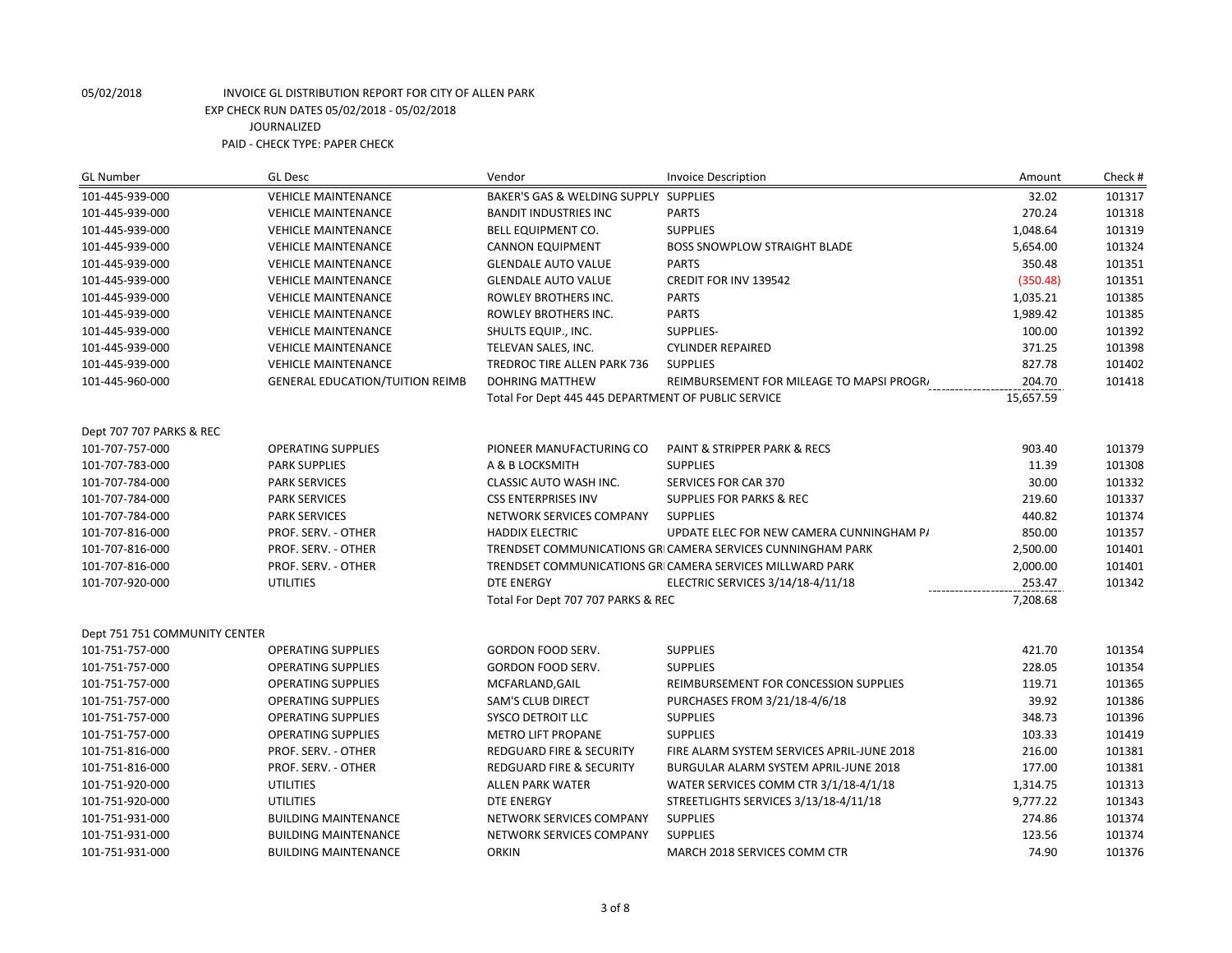| <b>GL Number</b>              | <b>GL Desc</b>                         | Vendor                                              | <b>Invoice Description</b>                                  | Amount    | Check # |
|-------------------------------|----------------------------------------|-----------------------------------------------------|-------------------------------------------------------------|-----------|---------|
| 101-445-939-000               | <b>VEHICLE MAINTENANCE</b>             | BAKER'S GAS & WELDING SUPPLY SUPPLIES               |                                                             | 32.02     | 101317  |
| 101-445-939-000               | <b>VEHICLE MAINTENANCE</b>             | <b>BANDIT INDUSTRIES INC</b>                        | <b>PARTS</b>                                                | 270.24    | 101318  |
| 101-445-939-000               | <b>VEHICLE MAINTENANCE</b>             | BELL EQUIPMENT CO.                                  | <b>SUPPLIES</b>                                             | 1,048.64  | 101319  |
| 101-445-939-000               | <b>VEHICLE MAINTENANCE</b>             | <b>CANNON EQUIPMENT</b>                             | <b>BOSS SNOWPLOW STRAIGHT BLADE</b>                         | 5,654.00  | 101324  |
| 101-445-939-000               | <b>VEHICLE MAINTENANCE</b>             | <b>GLENDALE AUTO VALUE</b>                          | <b>PARTS</b>                                                | 350.48    | 101351  |
| 101-445-939-000               | <b>VEHICLE MAINTENANCE</b>             | <b>GLENDALE AUTO VALUE</b>                          | CREDIT FOR INV 139542                                       | (350.48)  | 101351  |
| 101-445-939-000               | <b>VEHICLE MAINTENANCE</b>             | ROWLEY BROTHERS INC.                                | <b>PARTS</b>                                                | 1,035.21  | 101385  |
| 101-445-939-000               | <b>VEHICLE MAINTENANCE</b>             | ROWLEY BROTHERS INC.                                | <b>PARTS</b>                                                | 1,989.42  | 101385  |
| 101-445-939-000               | <b>VEHICLE MAINTENANCE</b>             | SHULTS EQUIP., INC.                                 | SUPPLIES-                                                   | 100.00    | 101392  |
| 101-445-939-000               | <b>VEHICLE MAINTENANCE</b>             | TELEVAN SALES, INC.                                 | <b>CYLINDER REPAIRED</b>                                    | 371.25    | 101398  |
| 101-445-939-000               | <b>VEHICLE MAINTENANCE</b>             | TREDROC TIRE ALLEN PARK 736                         | <b>SUPPLIES</b>                                             | 827.78    | 101402  |
| 101-445-960-000               | <b>GENERAL EDUCATION/TUITION REIMB</b> | <b>DOHRING MATTHEW</b>                              | REIMBURSEMENT FOR MILEAGE TO MAPSI PROGR/                   | 204.70    | 101418  |
|                               |                                        | Total For Dept 445 445 DEPARTMENT OF PUBLIC SERVICE |                                                             | 15,657.59 |         |
|                               |                                        |                                                     |                                                             |           |         |
| Dept 707 707 PARKS & REC      |                                        |                                                     |                                                             |           |         |
| 101-707-757-000               | <b>OPERATING SUPPLIES</b>              | PIONEER MANUFACTURING CO                            | PAINT & STRIPPER PARK & RECS                                | 903.40    | 101379  |
| 101-707-783-000               | <b>PARK SUPPLIES</b>                   | A & B LOCKSMITH                                     | <b>SUPPLIES</b>                                             | 11.39     | 101308  |
| 101-707-784-000               | <b>PARK SERVICES</b>                   | CLASSIC AUTO WASH INC.                              | <b>SERVICES FOR CAR 370</b>                                 | 30.00     | 101332  |
| 101-707-784-000               | <b>PARK SERVICES</b>                   | <b>CSS ENTERPRISES INV</b>                          | <b>SUPPLIES FOR PARKS &amp; REC</b>                         | 219.60    | 101337  |
| 101-707-784-000               | <b>PARK SERVICES</b>                   | NETWORK SERVICES COMPANY                            | <b>SUPPLIES</b>                                             | 440.82    | 101374  |
| 101-707-816-000               | PROF. SERV. - OTHER                    | <b>HADDIX ELECTRIC</b>                              | UPDATE ELEC FOR NEW CAMERA CUNNINGHAM P/                    | 850.00    | 101357  |
| 101-707-816-000               | PROF. SERV. - OTHER                    |                                                     | TRENDSET COMMUNICATIONS GRI CAMERA SERVICES CUNNINGHAM PARK | 2,500.00  | 101401  |
| 101-707-816-000               | PROF. SERV. - OTHER                    |                                                     | TRENDSET COMMUNICATIONS GRI CAMERA SERVICES MILLWARD PARK   | 2,000.00  | 101401  |
| 101-707-920-000               | UTILITIES                              | <b>DTE ENERGY</b>                                   | ELECTRIC SERVICES 3/14/18-4/11/18                           | 253.47    | 101342  |
|                               |                                        | Total For Dept 707 707 PARKS & REC                  |                                                             | 7,208.68  |         |
| Dept 751 751 COMMUNITY CENTER |                                        |                                                     |                                                             |           |         |
| 101-751-757-000               | <b>OPERATING SUPPLIES</b>              | <b>GORDON FOOD SERV.</b>                            | <b>SUPPLIES</b>                                             | 421.70    | 101354  |
| 101-751-757-000               | <b>OPERATING SUPPLIES</b>              | GORDON FOOD SERV.                                   | <b>SUPPLIES</b>                                             | 228.05    | 101354  |
| 101-751-757-000               | <b>OPERATING SUPPLIES</b>              | MCFARLAND, GAIL                                     | REIMBURSEMENT FOR CONCESSION SUPPLIES                       | 119.71    | 101365  |
| 101-751-757-000               | <b>OPERATING SUPPLIES</b>              | SAM'S CLUB DIRECT                                   | PURCHASES FROM 3/21/18-4/6/18                               | 39.92     | 101386  |
| 101-751-757-000               | <b>OPERATING SUPPLIES</b>              | <b>SYSCO DETROIT LLC</b>                            | <b>SUPPLIES</b>                                             | 348.73    | 101396  |
| 101-751-757-000               | <b>OPERATING SUPPLIES</b>              | <b>METRO LIFT PROPANE</b>                           | <b>SUPPLIES</b>                                             | 103.33    | 101419  |
| 101-751-816-000               | PROF. SERV. - OTHER                    | <b>REDGUARD FIRE &amp; SECURITY</b>                 | FIRE ALARM SYSTEM SERVICES APRIL-JUNE 2018                  | 216.00    | 101381  |
| 101-751-816-000               | PROF. SERV. - OTHER                    | <b>REDGUARD FIRE &amp; SECURITY</b>                 | <b>BURGULAR ALARM SYSTEM APRIL-JUNE 2018</b>                | 177.00    | 101381  |
| 101-751-920-000               | <b>UTILITIES</b>                       | <b>ALLEN PARK WATER</b>                             | WATER SERVICES COMM CTR 3/1/18-4/1/18                       | 1,314.75  | 101313  |
| 101-751-920-000               | <b>UTILITIES</b>                       | <b>DTE ENERGY</b>                                   | STREETLIGHTS SERVICES 3/13/18-4/11/18                       | 9,777.22  | 101343  |
| 101-751-931-000               | <b>BUILDING MAINTENANCE</b>            | NETWORK SERVICES COMPANY                            | <b>SUPPLIES</b>                                             | 274.86    | 101374  |
| 101-751-931-000               | <b>BUILDING MAINTENANCE</b>            | NETWORK SERVICES COMPANY                            | <b>SUPPLIES</b>                                             | 123.56    | 101374  |
| 101-751-931-000               | <b>BUILDING MAINTENANCE</b>            | <b>ORKIN</b>                                        | MARCH 2018 SERVICES COMM CTR                                | 74.90     | 101376  |
|                               |                                        |                                                     |                                                             |           |         |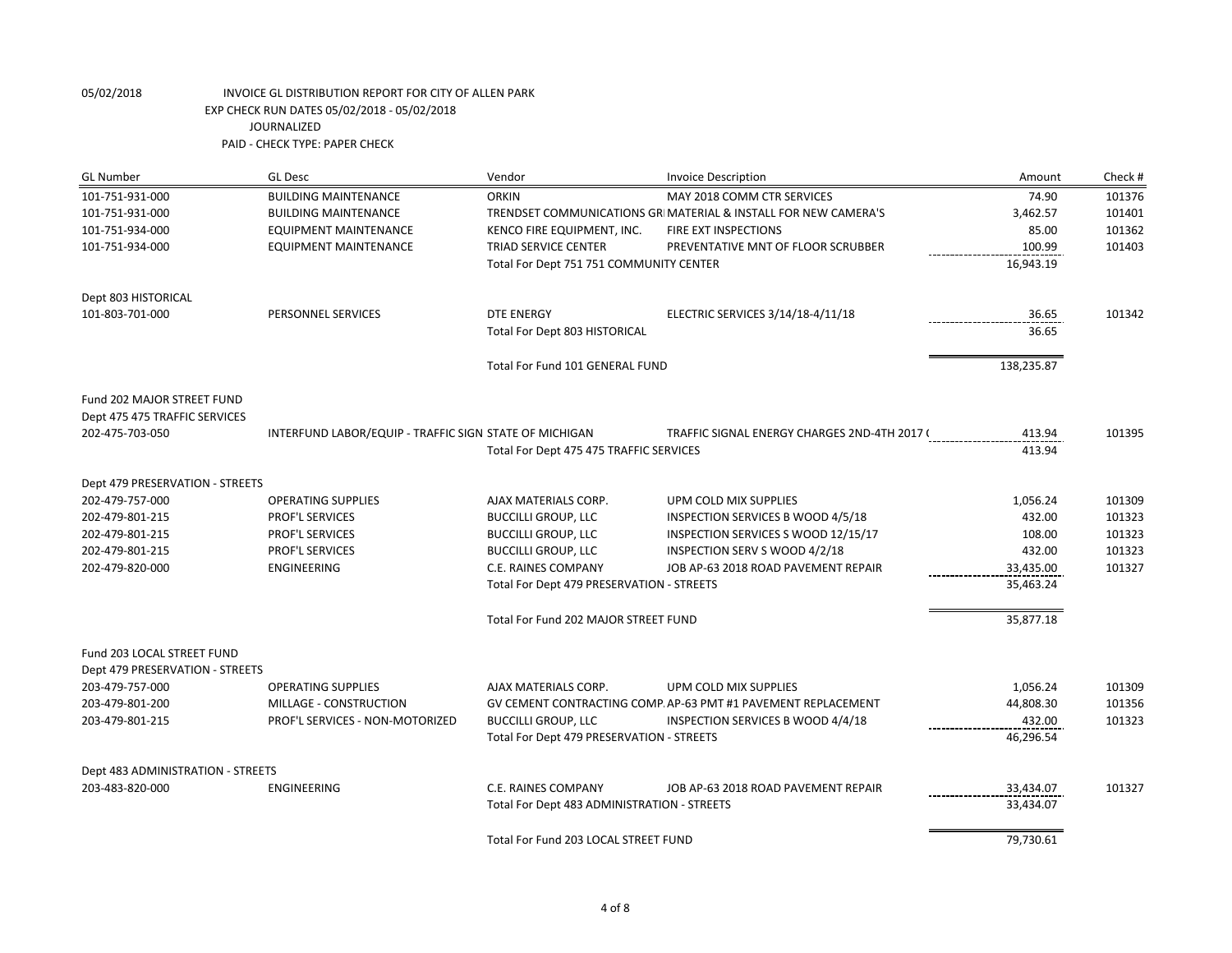| <b>GL Number</b>                                              | <b>GL Desc</b>                                         | Vendor                                      | <b>Invoice Description</b>                                     | Amount                     | Check # |
|---------------------------------------------------------------|--------------------------------------------------------|---------------------------------------------|----------------------------------------------------------------|----------------------------|---------|
| 101-751-931-000                                               | <b>BUILDING MAINTENANCE</b>                            | <b>ORKIN</b>                                | MAY 2018 COMM CTR SERVICES                                     | 74.90                      | 101376  |
| 101-751-931-000                                               | <b>BUILDING MAINTENANCE</b>                            |                                             | TRENDSET COMMUNICATIONS GRIMATERIAL & INSTALL FOR NEW CAMERA'S | 3,462.57                   | 101401  |
| 101-751-934-000                                               | <b>EQUIPMENT MAINTENANCE</b>                           | KENCO FIRE EQUIPMENT, INC.                  | FIRE EXT INSPECTIONS                                           | 85.00                      | 101362  |
| 101-751-934-000                                               | EQUIPMENT MAINTENANCE                                  | TRIAD SERVICE CENTER                        | PREVENTATIVE MNT OF FLOOR SCRUBBER                             | 100.99                     | 101403  |
|                                                               |                                                        | Total For Dept 751 751 COMMUNITY CENTER     |                                                                | 16,943.19                  |         |
| Dept 803 HISTORICAL                                           |                                                        |                                             |                                                                |                            |         |
| 101-803-701-000                                               | PERSONNEL SERVICES                                     | <b>DTE ENERGY</b>                           | ELECTRIC SERVICES 3/14/18-4/11/18                              | 36.65<br>----------------- | 101342  |
|                                                               |                                                        | Total For Dept 803 HISTORICAL               |                                                                | 36.65                      |         |
|                                                               |                                                        | Total For Fund 101 GENERAL FUND             |                                                                | 138,235.87                 |         |
| Fund 202 MAJOR STREET FUND                                    |                                                        |                                             |                                                                |                            |         |
| Dept 475 475 TRAFFIC SERVICES                                 |                                                        |                                             |                                                                |                            |         |
| 202-475-703-050                                               | INTERFUND LABOR/EQUIP - TRAFFIC SIGN STATE OF MICHIGAN |                                             | TRAFFIC SIGNAL ENERGY CHARGES 2ND-4TH 2017 (                   | 413.94                     | 101395  |
|                                                               |                                                        | Total For Dept 475 475 TRAFFIC SERVICES     |                                                                | 413.94                     |         |
| Dept 479 PRESERVATION - STREETS                               |                                                        |                                             |                                                                |                            |         |
| 202-479-757-000                                               | <b>OPERATING SUPPLIES</b>                              | AJAX MATERIALS CORP.                        | UPM COLD MIX SUPPLIES                                          | 1,056.24                   | 101309  |
| 202-479-801-215                                               | PROF'L SERVICES                                        | <b>BUCCILLI GROUP, LLC</b>                  | INSPECTION SERVICES B WOOD 4/5/18                              | 432.00                     | 101323  |
| 202-479-801-215                                               | PROF'L SERVICES                                        | <b>BUCCILLI GROUP, LLC</b>                  | INSPECTION SERVICES S WOOD 12/15/17                            | 108.00                     | 101323  |
| 202-479-801-215                                               | PROF'L SERVICES                                        | <b>BUCCILLI GROUP, LLC</b>                  | INSPECTION SERV S WOOD 4/2/18                                  | 432.00                     | 101323  |
| 202-479-820-000                                               | ENGINEERING                                            | C.E. RAINES COMPANY                         | JOB AP-63 2018 ROAD PAVEMENT REPAIR                            | 33,435.00                  | 101327  |
|                                                               |                                                        | Total For Dept 479 PRESERVATION - STREETS   |                                                                | 35,463.24                  |         |
|                                                               |                                                        | Total For Fund 202 MAJOR STREET FUND        |                                                                | 35,877.18                  |         |
| Fund 203 LOCAL STREET FUND<br>Dept 479 PRESERVATION - STREETS |                                                        |                                             |                                                                |                            |         |
| 203-479-757-000                                               | <b>OPERATING SUPPLIES</b>                              | AJAX MATERIALS CORP.                        | UPM COLD MIX SUPPLIES                                          | 1,056.24                   | 101309  |
| 203-479-801-200                                               | MILLAGE - CONSTRUCTION                                 |                                             | GV CEMENT CONTRACTING COMP. AP-63 PMT #1 PAVEMENT REPLACEMENT  | 44,808.30                  | 101356  |
| 203-479-801-215                                               | PROF'L SERVICES - NON-MOTORIZED                        | <b>BUCCILLI GROUP, LLC</b>                  | INSPECTION SERVICES B WOOD 4/4/18                              | 432.00                     | 101323  |
|                                                               |                                                        | Total For Dept 479 PRESERVATION - STREETS   |                                                                | 46,296.54                  |         |
| Dept 483 ADMINISTRATION - STREETS                             |                                                        |                                             |                                                                |                            |         |
| 203-483-820-000                                               | ENGINEERING                                            | C.E. RAINES COMPANY                         | JOB AP-63 2018 ROAD PAVEMENT REPAIR                            | 33,434.07                  | 101327  |
|                                                               |                                                        | Total For Dept 483 ADMINISTRATION - STREETS |                                                                | 33,434.07                  |         |
|                                                               |                                                        | Total For Fund 203 LOCAL STREET FUND        |                                                                | 79,730.61                  |         |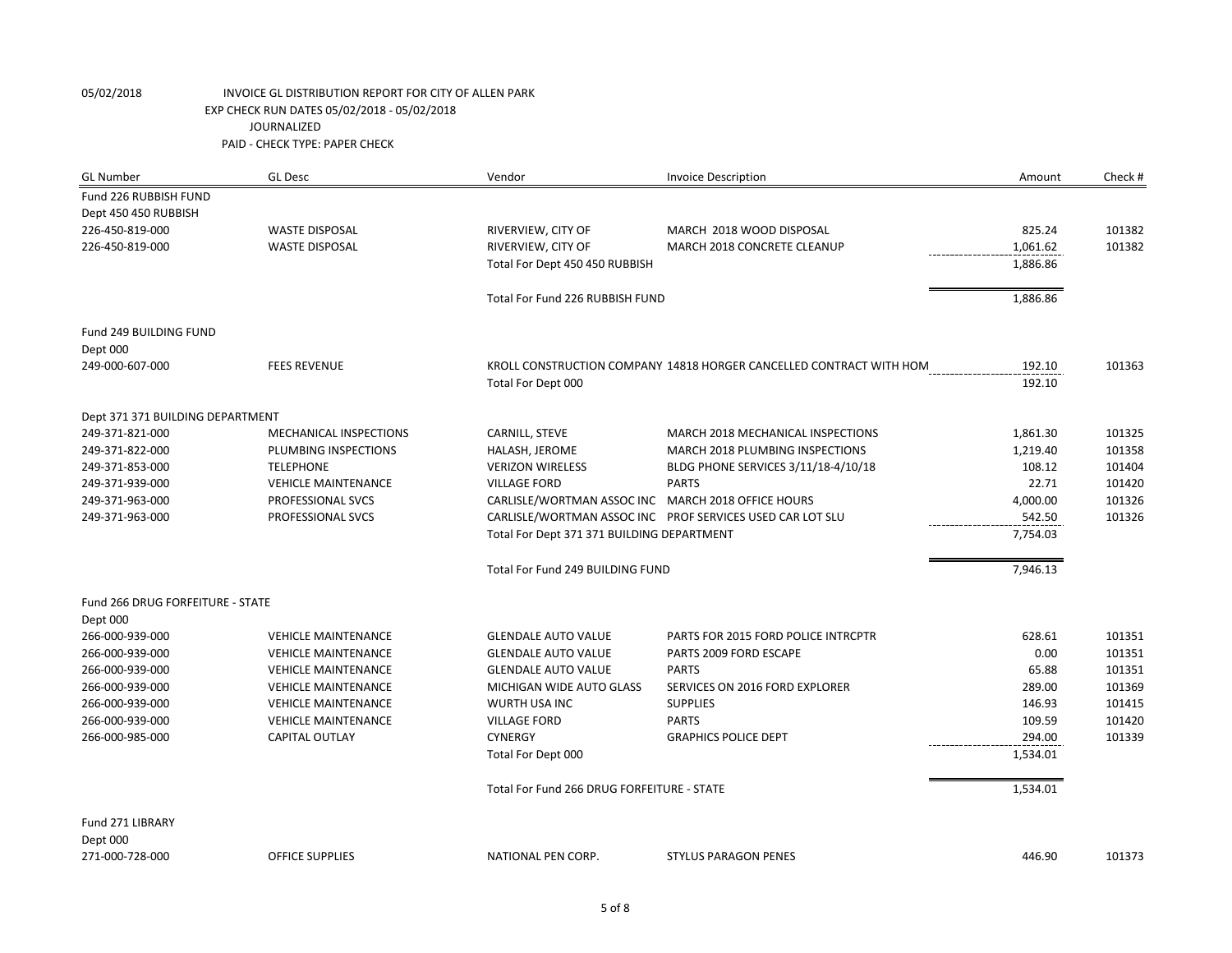| <b>GL Number</b>                 | <b>GL Desc</b>             | Vendor                                             | <b>Invoice Description</b>                                          | Amount   | Check # |
|----------------------------------|----------------------------|----------------------------------------------------|---------------------------------------------------------------------|----------|---------|
| Fund 226 RUBBISH FUND            |                            |                                                    |                                                                     |          |         |
| Dept 450 450 RUBBISH             |                            |                                                    |                                                                     |          |         |
| 226-450-819-000                  | <b>WASTE DISPOSAL</b>      | RIVERVIEW, CITY OF                                 | MARCH 2018 WOOD DISPOSAL                                            | 825.24   | 101382  |
| 226-450-819-000                  | <b>WASTE DISPOSAL</b>      | RIVERVIEW, CITY OF                                 | MARCH 2018 CONCRETE CLEANUP                                         | 1.061.62 | 101382  |
|                                  |                            | Total For Dept 450 450 RUBBISH                     |                                                                     | 1,886.86 |         |
|                                  |                            | Total For Fund 226 RUBBISH FUND                    |                                                                     | 1,886.86 |         |
| Fund 249 BUILDING FUND           |                            |                                                    |                                                                     |          |         |
| Dept 000                         |                            |                                                    |                                                                     |          |         |
| 249-000-607-000                  | <b>FEES REVENUE</b>        |                                                    | KROLL CONSTRUCTION COMPANY 14818 HORGER CANCELLED CONTRACT WITH HOM | 192.10   | 101363  |
|                                  |                            | Total For Dept 000                                 |                                                                     | 192.10   |         |
| Dept 371 371 BUILDING DEPARTMENT |                            |                                                    |                                                                     |          |         |
| 249-371-821-000                  | MECHANICAL INSPECTIONS     | CARNILL, STEVE                                     | MARCH 2018 MECHANICAL INSPECTIONS                                   | 1,861.30 | 101325  |
| 249-371-822-000                  | PLUMBING INSPECTIONS       | HALASH, JEROME                                     | MARCH 2018 PLUMBING INSPECTIONS                                     | 1,219.40 | 101358  |
| 249-371-853-000                  | <b>TELEPHONE</b>           | <b>VERIZON WIRELESS</b>                            | BLDG PHONE SERVICES 3/11/18-4/10/18                                 | 108.12   | 101404  |
| 249-371-939-000                  | <b>VEHICLE MAINTENANCE</b> | <b>VILLAGE FORD</b>                                | <b>PARTS</b>                                                        | 22.71    | 101420  |
| 249-371-963-000                  | PROFESSIONAL SVCS          | CARLISLE/WORTMAN ASSOC INC MARCH 2018 OFFICE HOURS |                                                                     | 4,000.00 | 101326  |
| 249-371-963-000                  | PROFESSIONAL SVCS          |                                                    | CARLISLE/WORTMAN ASSOC INC PROF SERVICES USED CAR LOT SLU           | 542.50   | 101326  |
|                                  |                            | Total For Dept 371 371 BUILDING DEPARTMENT         |                                                                     | 7,754.03 |         |
|                                  |                            | Total For Fund 249 BUILDING FUND                   |                                                                     | 7,946.13 |         |
| Fund 266 DRUG FORFEITURE - STATE |                            |                                                    |                                                                     |          |         |
| Dept 000                         |                            |                                                    |                                                                     |          |         |
| 266-000-939-000                  | <b>VEHICLE MAINTENANCE</b> | <b>GLENDALE AUTO VALUE</b>                         | PARTS FOR 2015 FORD POLICE INTRCPTR                                 | 628.61   | 101351  |
| 266-000-939-000                  | <b>VEHICLE MAINTENANCE</b> | <b>GLENDALE AUTO VALUE</b>                         | PARTS 2009 FORD ESCAPE                                              | 0.00     | 101351  |
| 266-000-939-000                  | <b>VEHICLE MAINTENANCE</b> | <b>GLENDALE AUTO VALUE</b>                         | <b>PARTS</b>                                                        | 65.88    | 101351  |
| 266-000-939-000                  | <b>VEHICLE MAINTENANCE</b> | MICHIGAN WIDE AUTO GLASS                           | SERVICES ON 2016 FORD EXPLORER                                      | 289.00   | 101369  |
| 266-000-939-000                  | <b>VEHICLE MAINTENANCE</b> | WURTH USA INC                                      | <b>SUPPLIES</b>                                                     | 146.93   | 101415  |
| 266-000-939-000                  | <b>VEHICLE MAINTENANCE</b> | <b>VILLAGE FORD</b>                                | <b>PARTS</b>                                                        | 109.59   | 101420  |
| 266-000-985-000                  | CAPITAL OUTLAY             | <b>CYNERGY</b>                                     | <b>GRAPHICS POLICE DEPT</b>                                         | 294.00   | 101339  |
|                                  |                            | Total For Dept 000                                 |                                                                     | 1,534.01 |         |
|                                  |                            | Total For Fund 266 DRUG FORFEITURE - STATE         |                                                                     | 1,534.01 |         |
| Fund 271 LIBRARY                 |                            |                                                    |                                                                     |          |         |
| Dept 000                         |                            |                                                    |                                                                     |          |         |
| 271-000-728-000                  | <b>OFFICE SUPPLIES</b>     | NATIONAL PEN CORP.                                 | <b>STYLUS PARAGON PENES</b>                                         | 446.90   | 101373  |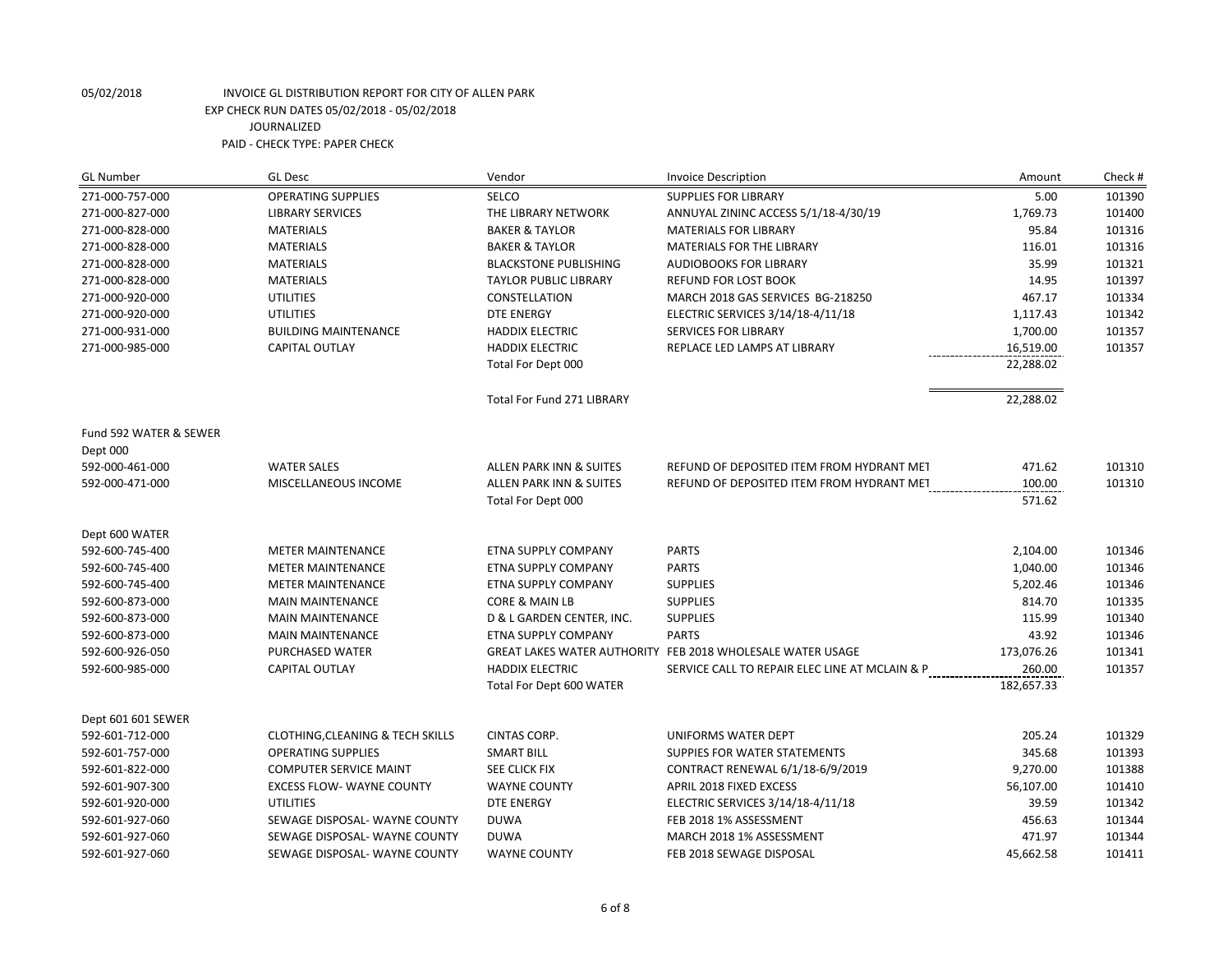| <b>GL Number</b>                   | <b>GL Desc</b>                              | Vendor                            | <b>Invoice Description</b>                                 | Amount     | Check # |
|------------------------------------|---------------------------------------------|-----------------------------------|------------------------------------------------------------|------------|---------|
| 271-000-757-000                    | <b>OPERATING SUPPLIES</b>                   | SELCO                             | <b>SUPPLIES FOR LIBRARY</b>                                | 5.00       | 101390  |
| 271-000-827-000                    | <b>LIBRARY SERVICES</b>                     | THE LIBRARY NETWORK               | ANNUYAL ZININC ACCESS 5/1/18-4/30/19                       | 1,769.73   | 101400  |
| 271-000-828-000                    | <b>MATERIALS</b>                            | <b>BAKER &amp; TAYLOR</b>         | <b>MATERIALS FOR LIBRARY</b>                               | 95.84      | 101316  |
| 271-000-828-000                    | <b>MATERIALS</b>                            | <b>BAKER &amp; TAYLOR</b>         | MATERIALS FOR THE LIBRARY                                  | 116.01     | 101316  |
| 271-000-828-000                    | <b>MATERIALS</b>                            | <b>BLACKSTONE PUBLISHING</b>      | <b>AUDIOBOOKS FOR LIBRARY</b>                              | 35.99      | 101321  |
| 271-000-828-000                    | <b>MATERIALS</b>                            | <b>TAYLOR PUBLIC LIBRARY</b>      | <b>REFUND FOR LOST BOOK</b>                                | 14.95      | 101397  |
| 271-000-920-000                    | <b>UTILITIES</b>                            | CONSTELLATION                     | MARCH 2018 GAS SERVICES BG-218250                          | 467.17     | 101334  |
| 271-000-920-000                    | <b>UTILITIES</b>                            | <b>DTE ENERGY</b>                 | ELECTRIC SERVICES 3/14/18-4/11/18                          | 1,117.43   | 101342  |
| 271-000-931-000                    | <b>BUILDING MAINTENANCE</b>                 | <b>HADDIX ELECTRIC</b>            | <b>SERVICES FOR LIBRARY</b>                                | 1,700.00   | 101357  |
| 271-000-985-000                    | <b>CAPITAL OUTLAY</b>                       | <b>HADDIX ELECTRIC</b>            | REPLACE LED LAMPS AT LIBRARY<br>--------------             | 16,519.00  | 101357  |
|                                    |                                             | Total For Dept 000                |                                                            | 22,288.02  |         |
|                                    |                                             | <b>Total For Fund 271 LIBRARY</b> |                                                            | 22,288.02  |         |
| Fund 592 WATER & SEWER<br>Dept 000 |                                             |                                   |                                                            |            |         |
| 592-000-461-000                    | <b>WATER SALES</b>                          | ALLEN PARK INN & SUITES           | REFUND OF DEPOSITED ITEM FROM HYDRANT MET                  | 471.62     | 101310  |
| 592-000-471-000                    | MISCELLANEOUS INCOME                        | ALLEN PARK INN & SUITES           | REFUND OF DEPOSITED ITEM FROM HYDRANT MET                  | 100.00     | 101310  |
|                                    |                                             | Total For Dept 000                |                                                            | 571.62     |         |
| Dept 600 WATER                     |                                             |                                   |                                                            |            |         |
| 592-600-745-400                    | <b>METER MAINTENANCE</b>                    | ETNA SUPPLY COMPANY               | <b>PARTS</b>                                               | 2,104.00   | 101346  |
| 592-600-745-400                    | <b>METER MAINTENANCE</b>                    | ETNA SUPPLY COMPANY               | <b>PARTS</b>                                               | 1,040.00   | 101346  |
| 592-600-745-400                    | <b>METER MAINTENANCE</b>                    | ETNA SUPPLY COMPANY               | <b>SUPPLIES</b>                                            | 5,202.46   | 101346  |
| 592-600-873-000                    | <b>MAIN MAINTENANCE</b>                     | <b>CORE &amp; MAIN LB</b>         | <b>SUPPLIES</b>                                            | 814.70     | 101335  |
| 592-600-873-000                    | <b>MAIN MAINTENANCE</b>                     | D & L GARDEN CENTER, INC.         | <b>SUPPLIES</b>                                            | 115.99     | 101340  |
| 592-600-873-000                    | <b>MAIN MAINTENANCE</b>                     | <b>ETNA SUPPLY COMPANY</b>        | <b>PARTS</b>                                               | 43.92      | 101346  |
| 592-600-926-050                    | PURCHASED WATER                             |                                   | GREAT LAKES WATER AUTHORITY FEB 2018 WHOLESALE WATER USAGE | 173,076.26 | 101341  |
| 592-600-985-000                    | <b>CAPITAL OUTLAY</b>                       | <b>HADDIX ELECTRIC</b>            | SERVICE CALL TO REPAIR ELEC LINE AT MCLAIN & P.            | 260.00     | 101357  |
|                                    |                                             | Total For Dept 600 WATER          |                                                            | 182,657.33 |         |
| Dept 601 601 SEWER                 |                                             |                                   |                                                            |            |         |
| 592-601-712-000                    | <b>CLOTHING, CLEANING &amp; TECH SKILLS</b> | CINTAS CORP.                      | UNIFORMS WATER DEPT                                        | 205.24     | 101329  |
| 592-601-757-000                    | <b>OPERATING SUPPLIES</b>                   | <b>SMART BILL</b>                 | SUPPIES FOR WATER STATEMENTS                               | 345.68     | 101393  |
| 592-601-822-000                    | <b>COMPUTER SERVICE MAINT</b>               | SEE CLICK FIX                     | CONTRACT RENEWAL 6/1/18-6/9/2019                           | 9,270.00   | 101388  |
| 592-601-907-300                    | <b>EXCESS FLOW- WAYNE COUNTY</b>            | <b>WAYNE COUNTY</b>               | APRIL 2018 FIXED EXCESS                                    | 56,107.00  | 101410  |
| 592-601-920-000                    | <b>UTILITIES</b>                            | <b>DTE ENERGY</b>                 | ELECTRIC SERVICES 3/14/18-4/11/18                          | 39.59      | 101342  |
| 592-601-927-060                    | SEWAGE DISPOSAL- WAYNE COUNTY               | <b>DUWA</b>                       | FEB 2018 1% ASSESSMENT                                     | 456.63     | 101344  |
| 592-601-927-060                    | SEWAGE DISPOSAL- WAYNE COUNTY               | <b>DUWA</b>                       | MARCH 2018 1% ASSESSMENT                                   | 471.97     | 101344  |
| 592-601-927-060                    | SEWAGE DISPOSAL- WAYNE COUNTY               | <b>WAYNE COUNTY</b>               | FEB 2018 SEWAGE DISPOSAL                                   | 45,662.58  | 101411  |
|                                    |                                             |                                   |                                                            |            |         |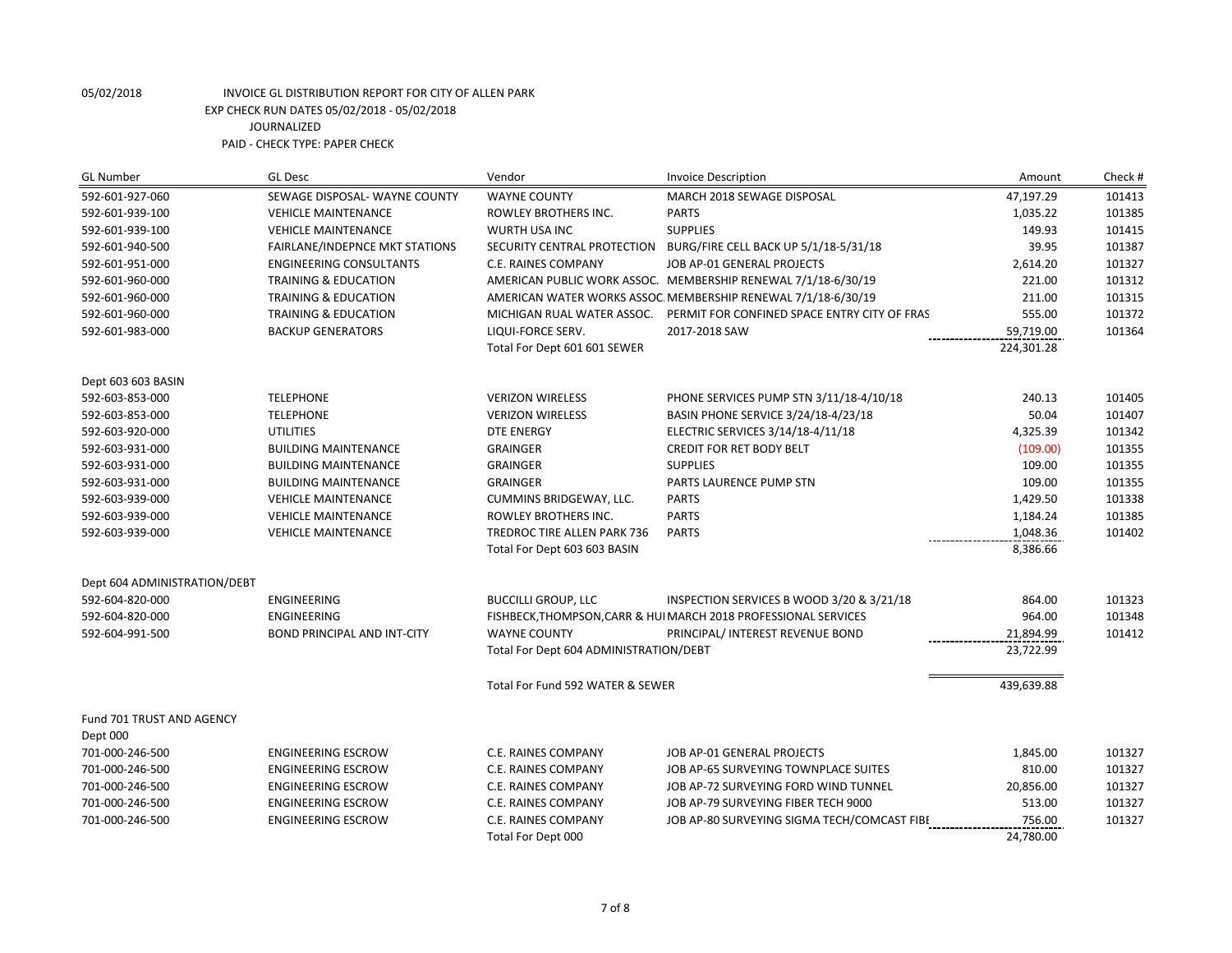| <b>GL Desc</b><br><b>GL Number</b><br>Vendor<br><b>Invoice Description</b>                                                    | Check #<br>Amount   |
|-------------------------------------------------------------------------------------------------------------------------------|---------------------|
| 592-601-927-060<br><b>WAYNE COUNTY</b><br>SEWAGE DISPOSAL- WAYNE COUNTY<br>MARCH 2018 SEWAGE DISPOSAL                         | 47,197.29<br>101413 |
| 592-601-939-100<br><b>PARTS</b><br><b>VEHICLE MAINTENANCE</b><br>ROWLEY BROTHERS INC.                                         | 1,035.22<br>101385  |
| 592-601-939-100<br><b>VEHICLE MAINTENANCE</b><br>WURTH USA INC<br><b>SUPPLIES</b>                                             | 149.93<br>101415    |
| 592-601-940-500<br><b>FAIRLANE/INDEPNCE MKT STATIONS</b><br>SECURITY CENTRAL PROTECTION BURG/FIRE CELL BACK UP 5/1/18-5/31/18 | 39.95<br>101387     |
| 592-601-951-000<br><b>ENGINEERING CONSULTANTS</b><br>C.E. RAINES COMPANY<br>JOB AP-01 GENERAL PROJECTS                        | 2,614.20<br>101327  |
| AMERICAN PUBLIC WORK ASSOC. MEMBERSHIP RENEWAL 7/1/18-6/30/19<br>592-601-960-000<br><b>TRAINING &amp; EDUCATION</b>           | 221.00<br>101312    |
| 592-601-960-000<br>TRAINING & EDUCATION<br>AMERICAN WATER WORKS ASSOC. MEMBERSHIP RENEWAL 7/1/18-6/30/19                      | 101315<br>211.00    |
| TRAINING & EDUCATION<br>PERMIT FOR CONFINED SPACE ENTRY CITY OF FRAS<br>592-601-960-000<br>MICHIGAN RUAL WATER ASSOC.         | 555.00<br>101372    |
| 592-601-983-000<br><b>BACKUP GENERATORS</b><br>LIQUI-FORCE SERV.<br>2017-2018 SAW                                             | 101364<br>59,719.00 |
| Total For Dept 601 601 SEWER                                                                                                  | 224,301.28          |
| Dept 603 603 BASIN                                                                                                            |                     |
| 592-603-853-000<br><b>TELEPHONE</b><br><b>VERIZON WIRELESS</b><br>PHONE SERVICES PUMP STN 3/11/18-4/10/18                     | 240.13<br>101405    |
| <b>TELEPHONE</b><br>BASIN PHONE SERVICE 3/24/18-4/23/18<br>592-603-853-000<br><b>VERIZON WIRELESS</b>                         | 50.04<br>101407     |
| 592-603-920-000<br><b>UTILITIES</b><br><b>DTE ENERGY</b><br>ELECTRIC SERVICES 3/14/18-4/11/18                                 | 4,325.39<br>101342  |
| CREDIT FOR RET BODY BELT<br>592-603-931-000<br><b>BUILDING MAINTENANCE</b><br><b>GRAINGER</b>                                 | (109.00)<br>101355  |
| <b>GRAINGER</b><br><b>SUPPLIES</b><br>592-603-931-000<br><b>BUILDING MAINTENANCE</b>                                          | 109.00<br>101355    |
| <b>GRAINGER</b><br>PARTS LAURENCE PUMP STN<br>592-603-931-000<br><b>BUILDING MAINTENANCE</b>                                  | 109.00<br>101355    |
| CUMMINS BRIDGEWAY, LLC.<br><b>PARTS</b><br>592-603-939-000<br><b>VEHICLE MAINTENANCE</b>                                      | 1,429.50<br>101338  |
| <b>PARTS</b><br>592-603-939-000<br><b>VEHICLE MAINTENANCE</b><br>ROWLEY BROTHERS INC.                                         | 101385<br>1,184.24  |
| <b>VEHICLE MAINTENANCE</b><br>TREDROC TIRE ALLEN PARK 736<br><b>PARTS</b><br>592-603-939-000                                  | 1,048.36<br>101402  |
| Total For Dept 603 603 BASIN                                                                                                  | 8,386.66            |
| Dept 604 ADMINISTRATION/DEBT                                                                                                  |                     |
| 592-604-820-000<br><b>ENGINEERING</b><br><b>BUCCILLI GROUP, LLC</b><br>INSPECTION SERVICES B WOOD 3/20 & 3/21/18              | 864.00<br>101323    |
| 592-604-820-000<br><b>ENGINEERING</b><br>FISHBECK, THOMPSON, CARR & HUI MARCH 2018 PROFESSIONAL SERVICES                      | 964.00<br>101348    |
| 592-604-991-500<br><b>BOND PRINCIPAL AND INT-CITY</b><br><b>WAYNE COUNTY</b><br>PRINCIPAL/ INTEREST REVENUE BOND              | 101412<br>21,894.99 |
| Total For Dept 604 ADMINISTRATION/DEBT                                                                                        | 23,722.99           |
| Total For Fund 592 WATER & SEWER                                                                                              | 439,639.88          |
| Fund 701 TRUST AND AGENCY<br>Dept 000                                                                                         |                     |
| 701-000-246-500<br><b>ENGINEERING ESCROW</b><br>C.E. RAINES COMPANY<br>JOB AP-01 GENERAL PROJECTS                             | 1,845.00<br>101327  |
| 701-000-246-500<br>JOB AP-65 SURVEYING TOWNPLACE SUITES<br><b>ENGINEERING ESCROW</b><br>C.E. RAINES COMPANY                   | 810.00<br>101327    |
| 701-000-246-500<br>C.E. RAINES COMPANY<br><b>ENGINEERING ESCROW</b><br>JOB AP-72 SURVEYING FORD WIND TUNNEL                   | 101327<br>20,856.00 |
| 701-000-246-500<br><b>ENGINEERING ESCROW</b><br>JOB AP-79 SURVEYING FIBER TECH 9000<br>C.E. RAINES COMPANY                    | 101327<br>513.00    |
| ENGINEERING ESCROW<br>JOB AP-80 SURVEYING SIGMA TECH/COMCAST FIBE<br>701-000-246-500<br>C.E. RAINES COMPANY                   | 756.00<br>101327    |
| Total For Dept 000                                                                                                            | 24,780.00           |